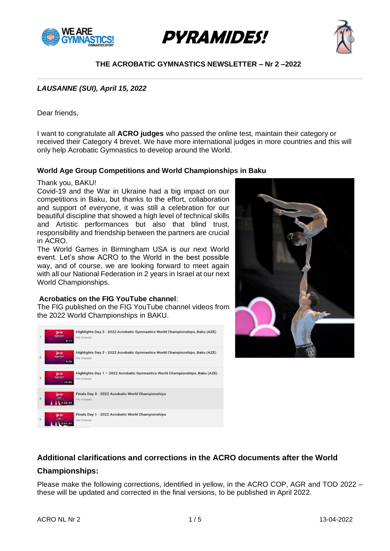

# **PYRAMIDES!**



#### **THE ACROBATIC GYMNASTICS NEWSLETTER – Nr 2 –2022**

## *LAUSANNE (SUI), April 15, 2022*

Dear friends,

I want to congratulate all **ACRO judges** who passed the online test, maintain their category or received their Category 4 brevet. We have more international judges in more countries and this will only help Acrobatic Gymnastics to develop around the World.

#### **World Age Group Competitions and World Championships in Baku**

Thank you, BAKU!

Covid-19 and the War in Ukraine had a big impact on our competitions in Baku, but thanks to the effort, collaboration and support of everyone, it was still a celebration for our beautiful discipline that showed a high level of technical skills and Artistic performances but also that blind trust, responsibility and friendship between the partners are crucial in ACRO.

The World Games in Birmingham USA is our next World event. Let's show ACRO to the World in the best possible way, and of course, we are looking forward to meet again with all our National Federation in 2 years in Israel at our next World Championships.

#### **Acrobatics on the FIG YouTube channel**:

The FIG published on the FIG YouTube channel videos from the 2022 World Championships in BAKU.





# **Additional clarifications and corrections in the ACRO documents after the World**

### **Championships:**

Please make the following corrections, identified in yellow, in the ACRO COP, AGR and TOD 2022 – these will be updated and corrected in the final versions, to be published in April 2022.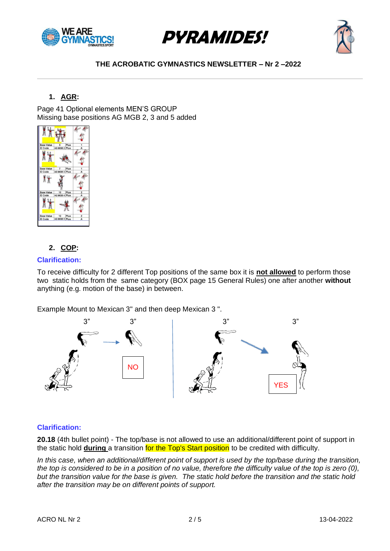





# **1. AGR:**

Page 41 Optional elements MEN'S GROUP Missing base positions AG MGB 2, 3 and 5 added



# **2. COP:**

#### **Clarification:**

To receive difficulty for 2 different Top positions of the same box it is **not allowed** to perform those two static holds from the same category (BOX page 15 General Rules) one after another **without**  anything (e.g. motion of the base) in between.

Example Mount to Mexican 3" and then deep Mexican 3 ".



#### **Clarification:**

**20.18** (4th bullet point) - The top/base is not allowed to use an additional/different point of support in the static hold **during** a transition for the Top's Start position to be credited with difficulty.

*In this case, when an additional/different point of support is used by the top/base during the transition, the top is considered to be in a position of no value, therefore the difficulty value of the top is zero (0), but the transition value for the base is given. The static hold before the transition and the static hold after the transition may be on different points of support.*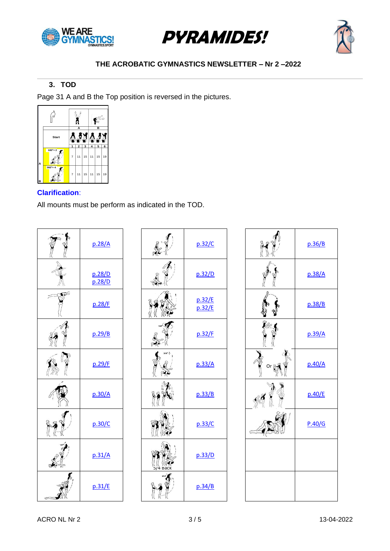





**3. TOD**

Page 31 A and B the Top position is reversed in the pictures.



### **Clarification**:

All mounts must be perform as indicated in the TOD.



| p.28/A           |                    | p.32/C           |                 | p.36/B |
|------------------|--------------------|------------------|-----------------|--------|
| p.28/D<br>p.28/D |                    | p.32/D           |                 | p.38/A |
| p.28/F           |                    | p.32/E<br>p.32/E |                 | p.38/B |
| p.29/B           |                    | p.32/F           |                 | p.39/A |
| p.29/F           |                    | p.33/A           | Or $\mathbb{R}$ | p.40/A |
| p.30/A           |                    | p.33/B           |                 | p.40/E |
| p.30/C           |                    | p.33/C           |                 | P.40/G |
| p.31/A           | $\frac{5}{4}$ Back | p.33/D           |                 |        |
| p.31/E           |                    | p.34/B           |                 |        |

| p.32/C           | $\frac{3}{4}$    | p.36/B |
|------------------|------------------|--------|
| p.32/D           |                  | p.38/A |
| p.32/E<br>p.32/E |                  | p.38/B |
| p.32/F           |                  | p.39/A |
| p.33/A           | Or $\frac{8}{3}$ | p.40/A |
| p.33/B           | S                | p.40/E |
| p.33/C           |                  | P.40/G |
| p.33/D           |                  |        |
| p.34/B           |                  |        |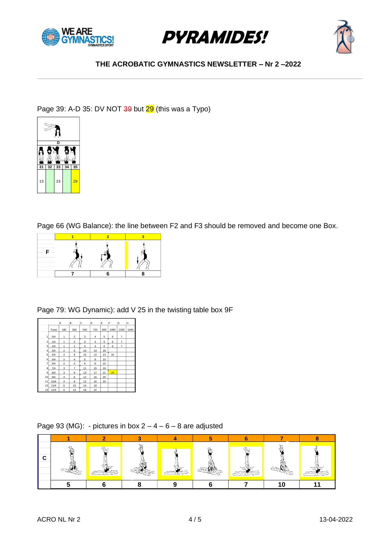





Page 39: A-D 35: DV NOT 39 but 29 (this was a Typo)



Page 66 (WG Balance): the line between F2 and F3 should be removed and become one Box.



Page 79: WG Dynamic): add V 25 in the twisting table box 9F

|                |       | A              | B              | C   | D              | E   | F    | G    | н    |
|----------------|-------|----------------|----------------|-----|----------------|-----|------|------|------|
|                | Twist | 180            | 360            | 540 | 720            | 900 | 1080 | 1260 | 1440 |
| 1              | 0/4   | 1              | $\overline{2}$ | 3   | $\overline{4}$ | 5   | 6    | 7    |      |
| $\overline{2}$ | 1/4   | 1              | $\overline{2}$ | 3   | $\overline{4}$ | 5   | 6    | 7    |      |
| 3              | 2/4   | 1              | $\overline{2}$ | 3   | $\overline{4}$ | 5   | 6    | 7    |      |
| 4              | 3/4   | $\overline{2}$ | 6              | 10  | 14             | 18  |      |      |      |
| 5              | 4/4   | $\overline{2}$ | 8              | 10  | 12             | 14  | 16   |      |      |
| 6              | 5/4   | $\overline{2}$ | 4              | 6   | 8              | 10  |      |      |      |
| 7              | 6/4   | $\overline{2}$ | $\overline{4}$ | 6   | 8              | 10  |      |      |      |
| 8              | 7/4   | 3              | 7              | 11  | 15             | 19  |      |      |      |
| 9              | 8/4   | 3              | 9              | 13  | 17             | 21  | 25   |      |      |
| 10             | 9/4   | $\overline{4}$ | 8              | 12  | 16             | 20  |      |      |      |
| 11             | 10/4  | $\overline{4}$ | 8              | 12  | 16             | 20  |      |      |      |
| 12             | 11/4  | 6              | 10             | 14  | 18             |     |      |      |      |
| 13             | 12/4  | 6              | 14             | 18  | 22             |     |      |      |      |

#### Page 93 (MG): - pictures in box  $2 - 4 - 6 - 8$  are adjusted